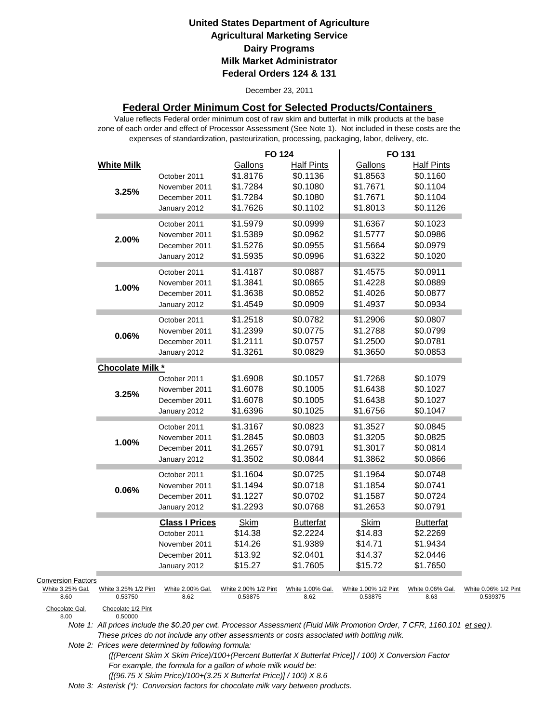December 23, 2011

## **Federal Order Minimum Cost for Selected Products/Containers**

zone of each order and effect of Processor Assessment (See Note 1). Not included in these costs are the expenses of standardization, pasteurization, processing, packaging, labor, delivery, etc. Value reflects Federal order minimum cost of raw skim and butterfat in milk products at the base

|                                               |                         |                       | <b>FO 124</b>        |                   | FO 131               |                   |                      |
|-----------------------------------------------|-------------------------|-----------------------|----------------------|-------------------|----------------------|-------------------|----------------------|
|                                               | <b>White Milk</b>       |                       | Gallons              | <b>Half Pints</b> | Gallons              | <b>Half Pints</b> |                      |
|                                               |                         | October 2011          | \$1.8176             | \$0.1136          | \$1.8563             | \$0.1160          |                      |
|                                               | 3.25%                   | November 2011         | \$1.7284             | \$0.1080          | \$1.7671             | \$0.1104          |                      |
|                                               |                         | December 2011         | \$1.7284             | \$0.1080          | \$1.7671             | \$0.1104          |                      |
|                                               |                         | January 2012          | \$1.7626             | \$0.1102          | \$1.8013             | \$0.1126          |                      |
|                                               |                         | October 2011          | \$1.5979             | \$0.0999          | \$1.6367             | \$0.1023          |                      |
|                                               |                         | November 2011         | \$1.5389             | \$0.0962          | \$1.5777             | \$0.0986          |                      |
|                                               | 2.00%                   | December 2011         | \$1.5276             | \$0.0955          | \$1.5664             | \$0.0979          |                      |
|                                               |                         | January 2012          | \$1.5935             | \$0.0996          | \$1.6322             | \$0.1020          |                      |
|                                               |                         | October 2011          | \$1.4187             | \$0.0887          | \$1.4575             | \$0.0911          |                      |
|                                               |                         | November 2011         | \$1.3841             | \$0.0865          | \$1.4228             | \$0.0889          |                      |
|                                               | 1.00%                   | December 2011         | \$1.3638             | \$0.0852          | \$1.4026             | \$0.0877          |                      |
|                                               |                         |                       | \$1.4549             | \$0.0909          | \$1.4937             | \$0.0934          |                      |
|                                               |                         | January 2012          |                      |                   |                      |                   |                      |
|                                               |                         | October 2011          | \$1.2518             | \$0.0782          | \$1.2906             | \$0.0807          |                      |
|                                               | 0.06%                   | November 2011         | \$1.2399             | \$0.0775          | \$1.2788             | \$0.0799          |                      |
|                                               |                         | December 2011         | \$1.2111             | \$0.0757          | \$1.2500             | \$0.0781          |                      |
|                                               |                         | January 2012          | \$1.3261             | \$0.0829          | \$1.3650             | \$0.0853          |                      |
|                                               | <b>Chocolate Milk *</b> |                       |                      |                   |                      |                   |                      |
|                                               |                         | October 2011          | \$1.6908             | \$0.1057          | \$1.7268             | \$0.1079          |                      |
|                                               | 3.25%                   | November 2011         | \$1.6078             | \$0.1005          | \$1.6438             | \$0.1027          |                      |
|                                               |                         | December 2011         | \$1.6078             | \$0.1005          | \$1.6438             | \$0.1027          |                      |
|                                               |                         | January 2012          | \$1.6396             | \$0.1025          | \$1.6756             | \$0.1047          |                      |
|                                               |                         | October 2011          | \$1.3167             | \$0.0823          | \$1.3527             | \$0.0845          |                      |
|                                               |                         | November 2011         | \$1.2845             | \$0.0803          | \$1.3205             | \$0.0825          |                      |
|                                               | 1.00%                   | December 2011         | \$1.2657             | \$0.0791          | \$1.3017             | \$0.0814          |                      |
|                                               |                         | January 2012          | \$1.3502             | \$0.0844          | \$1.3862             | \$0.0866          |                      |
|                                               |                         | October 2011          | \$1.1604             | \$0.0725          | \$1.1964             | \$0.0748          |                      |
|                                               |                         | November 2011         | \$1.1494             | \$0.0718          | \$1.1854             | \$0.0741          |                      |
|                                               | 0.06%                   | December 2011         | \$1.1227             | \$0.0702          | \$1.1587             | \$0.0724          |                      |
|                                               |                         | January 2012          | \$1.2293             | \$0.0768          | \$1.2653             | \$0.0791          |                      |
|                                               |                         | <b>Class I Prices</b> | <b>Skim</b>          | <b>Butterfat</b>  | <b>Skim</b>          | <b>Butterfat</b>  |                      |
|                                               |                         | October 2011          | \$14.38              | \$2.2224          | \$14.83              | \$2.2269          |                      |
|                                               |                         | November 2011         | \$14.26              | \$1.9389          | \$14.71              | \$1.9434          |                      |
|                                               |                         | December 2011         | \$13.92              | \$2.0401          | \$14.37              | \$2.0446          |                      |
|                                               |                         | January 2012          | \$15.27              | \$1.7605          | \$15.72              | \$1.7650          |                      |
|                                               |                         |                       |                      |                   |                      |                   |                      |
| <b>Conversion Factors</b><br>White 3.25% Gal. | White 3.25% 1/2 Pint    | White 2.00% Gal.      | White 2.00% 1/2 Pint | White 1.00% Gal.  | White 1.00% 1/2 Pint | White 0.06% Gal.  | White 0.06% 1/2 Pint |
| 8.60                                          | 0.53750                 | 8.62                  | 0.53875              | 8.62              | 0.53875              | 8.63              | 0.539375             |
| Chocolate Gal                                 | Chocolate 1/2 Pint      |                       |                      |                   |                      |                   |                      |

Chocolate Gal.<br>8.00

0.50000

*Note 1: All prices include the \$0.20 per cwt. Processor Assessment (Fluid Milk Promotion Order, 7 CFR, 1160.101 et seq ). These prices do not include any other assessments or costs associated with bottling milk.*

*Note 2: Prices were determined by following formula:* 

 *([(Percent Skim X Skim Price)/100+(Percent Butterfat X Butterfat Price)] / 100) X Conversion Factor For example, the formula for a gallon of whole milk would be: ([(96.75 X Skim Price)/100+(3.25 X Butterfat Price)] / 100) X 8.6*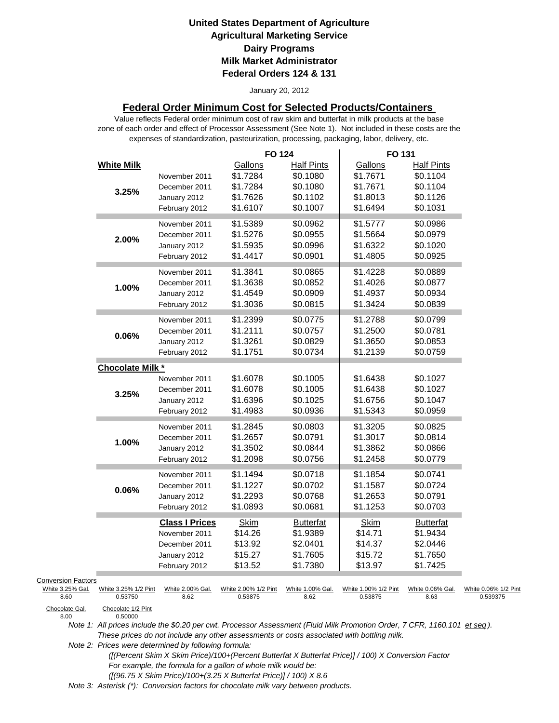#### January 20, 2012

## **Federal Order Minimum Cost for Selected Products/Containers**

zone of each order and effect of Processor Assessment (See Note 1). Not included in these costs are the expenses of standardization, pasteurization, processing, packaging, labor, delivery, etc. Value reflects Federal order minimum cost of raw skim and butterfat in milk products at the base

|                                                             |                          | <b>FO 124</b>                   |                               | FO 131                          |                               |                                  |
|-------------------------------------------------------------|--------------------------|---------------------------------|-------------------------------|---------------------------------|-------------------------------|----------------------------------|
| <b>White Milk</b>                                           | November 2011            | Gallons<br>\$1.7284             | <b>Half Pints</b><br>\$0.1080 | Gallons<br>\$1.7671             | <b>Half Pints</b><br>\$0.1104 |                                  |
|                                                             | December 2011            | \$1.7284                        | \$0.1080                      | \$1.7671                        | \$0.1104                      |                                  |
| 3.25%                                                       | January 2012             | \$1.7626                        | \$0.1102                      | \$1.8013                        | \$0.1126                      |                                  |
|                                                             | February 2012            | \$1.6107                        | \$0.1007                      | \$1.6494                        | \$0.1031                      |                                  |
|                                                             | November 2011            | \$1.5389                        | \$0.0962                      | \$1.5777                        | \$0.0986                      |                                  |
| 2.00%                                                       | December 2011            | \$1.5276                        | \$0.0955                      | \$1.5664                        | \$0.0979                      |                                  |
|                                                             | January 2012             | \$1.5935                        | \$0.0996                      | \$1.6322                        | \$0.1020                      |                                  |
|                                                             | February 2012            | \$1.4417                        | \$0.0901                      | \$1.4805                        | \$0.0925                      |                                  |
|                                                             | November 2011            | \$1.3841                        | \$0.0865                      | \$1.4228                        | \$0.0889                      |                                  |
| 1.00%                                                       | December 2011            | \$1.3638                        | \$0.0852                      | \$1.4026                        | \$0.0877                      |                                  |
|                                                             | January 2012             | \$1.4549                        | \$0.0909                      | \$1.4937                        | \$0.0934                      |                                  |
|                                                             | February 2012            | \$1.3036                        | \$0.0815                      | \$1.3424                        | \$0.0839                      |                                  |
|                                                             | November 2011            | \$1.2399                        | \$0.0775                      | \$1.2788                        | \$0.0799                      |                                  |
| $0.06\%$                                                    | December 2011            | \$1.2111                        | \$0.0757                      | \$1.2500                        | \$0.0781                      |                                  |
|                                                             | January 2012             | \$1.3261                        | \$0.0829                      | \$1.3650                        | \$0.0853                      |                                  |
|                                                             | February 2012            | \$1.1751                        | \$0.0734                      | \$1.2139                        | \$0.0759                      |                                  |
| <b>Chocolate Milk *</b>                                     |                          |                                 |                               |                                 |                               |                                  |
|                                                             | November 2011            | \$1.6078                        | \$0.1005                      | \$1.6438                        | \$0.1027                      |                                  |
| 3.25%                                                       | December 2011            | \$1.6078                        | \$0.1005                      | \$1.6438                        | \$0.1027                      |                                  |
|                                                             | January 2012             | \$1.6396                        | \$0.1025                      | \$1.6756                        | \$0.1047                      |                                  |
|                                                             | February 2012            | \$1.4983                        | \$0.0936                      | \$1.5343                        | \$0.0959                      |                                  |
|                                                             | November 2011            | \$1.2845                        | \$0.0803                      | \$1.3205                        | \$0.0825                      |                                  |
| 1.00%                                                       | December 2011            | \$1.2657                        | \$0.0791                      | \$1.3017                        | \$0.0814                      |                                  |
|                                                             | January 2012             | \$1.3502                        | \$0.0844                      | \$1.3862                        | \$0.0866                      |                                  |
|                                                             | February 2012            | \$1.2098                        | \$0.0756                      | \$1.2458                        | \$0.0779                      |                                  |
|                                                             | November 2011            | \$1.1494                        | \$0.0718                      | \$1.1854                        | \$0.0741                      |                                  |
| 0.06%                                                       | December 2011            | \$1.1227                        | \$0.0702                      | \$1.1587                        | \$0.0724                      |                                  |
|                                                             | January 2012             | \$1.2293                        | \$0.0768                      | \$1.2653                        | \$0.0791                      |                                  |
|                                                             | February 2012            | \$1.0893                        | \$0.0681                      | \$1.1253                        | \$0.0703                      |                                  |
|                                                             | <b>Class I Prices</b>    | <b>Skim</b>                     | <b>Butterfat</b>              | Skim                            | <b>Butterfat</b>              |                                  |
|                                                             | November 2011            | \$14.26                         | \$1.9389                      | \$14.71                         | \$1.9434                      |                                  |
|                                                             | December 2011            | \$13.92                         | \$2.0401                      | \$14.37                         | \$2.0446                      |                                  |
|                                                             | January 2012             | \$15.27                         | \$1.7605                      | \$15.72                         | \$1.7650                      |                                  |
|                                                             | February 2012            | \$13.52                         | \$1.7380                      | \$13.97                         | \$1.7425                      |                                  |
| <b>Conversion Factors</b>                                   |                          |                                 |                               |                                 |                               |                                  |
| White 3.25% Gal.<br>White 3.25% 1/2 Pint<br>0.53750<br>8.60 | White 2.00% Gal.<br>8.62 | White 2.00% 1/2 Pint<br>0.53875 | White 1.00% Gal.<br>8.62      | White 1.00% 1/2 Pint<br>0.53875 | White 0.06% Gal.<br>8.63      | White 0.06% 1/2 Pint<br>0.539375 |
| Chocolate Gal.<br>Chocolate 1/2 Pint                        |                          |                                 |                               |                                 |                               |                                  |

Chocolate Gal.<br>8.00

*Note 1: All prices include the \$0.20 per cwt. Processor Assessment (Fluid Milk Promotion Order, 7 CFR, 1160.101 et seq ). These prices do not include any other assessments or costs associated with bottling milk.*

*Note 2: Prices were determined by following formula:* 

 *([(Percent Skim X Skim Price)/100+(Percent Butterfat X Butterfat Price)] / 100) X Conversion Factor For example, the formula for a gallon of whole milk would be: ([(96.75 X Skim Price)/100+(3.25 X Butterfat Price)] / 100) X 8.6*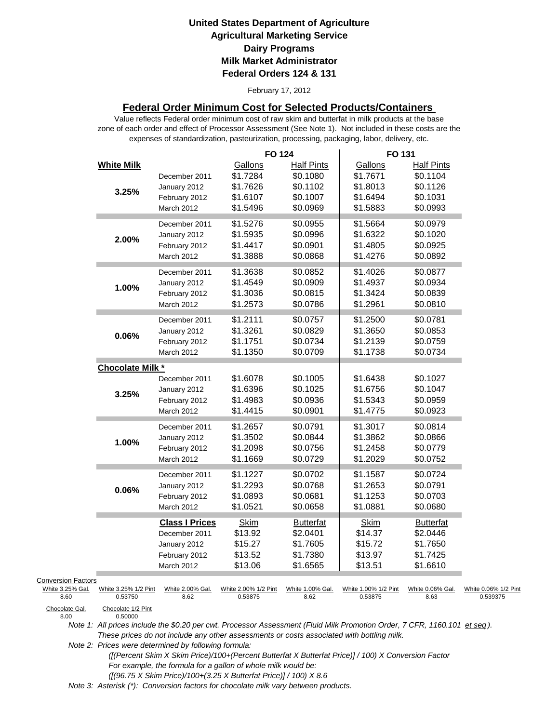#### February 17, 2012

## **Federal Order Minimum Cost for Selected Products/Containers**

zone of each order and effect of Processor Assessment (See Note 1). Not included in these costs are the expenses of standardization, pasteurization, processing, packaging, labor, delivery, etc. Value reflects Federal order minimum cost of raw skim and butterfat in milk products at the base

|                                                       |                                 |                                                                                       | <b>FO 124</b>                                           |                                                                   | FO 131                                                  |                                                                   |                                  |
|-------------------------------------------------------|---------------------------------|---------------------------------------------------------------------------------------|---------------------------------------------------------|-------------------------------------------------------------------|---------------------------------------------------------|-------------------------------------------------------------------|----------------------------------|
|                                                       | <b>White Milk</b><br>3.25%      | December 2011<br>January 2012<br>February 2012<br>March 2012                          | Gallons<br>\$1.7284<br>\$1.7626<br>\$1.6107<br>\$1.5496 | <b>Half Pints</b><br>\$0.1080<br>\$0.1102<br>\$0.1007<br>\$0.0969 | Gallons<br>\$1.7671<br>\$1.8013<br>\$1.6494<br>\$1.5883 | <b>Half Pints</b><br>\$0.1104<br>\$0.1126<br>\$0.1031<br>\$0.0993 |                                  |
|                                                       | 2.00%                           | December 2011<br>January 2012<br>February 2012<br>March 2012                          | \$1.5276<br>\$1.5935<br>\$1.4417<br>\$1.3888            | \$0.0955<br>\$0.0996<br>\$0.0901<br>\$0.0868                      | \$1.5664<br>\$1.6322<br>\$1.4805<br>\$1.4276            | \$0.0979<br>\$0.1020<br>\$0.0925<br>\$0.0892                      |                                  |
|                                                       | 1.00%                           | December 2011<br>January 2012<br>February 2012<br>March 2012                          | \$1.3638<br>\$1.4549<br>\$1.3036<br>\$1.2573            | \$0.0852<br>\$0.0909<br>\$0.0815<br>\$0.0786                      | \$1.4026<br>\$1.4937<br>\$1.3424<br>\$1.2961            | \$0.0877<br>\$0.0934<br>\$0.0839<br>\$0.0810                      |                                  |
|                                                       | 0.06%                           | December 2011<br>January 2012<br>February 2012<br><b>March 2012</b>                   | \$1.2111<br>\$1.3261<br>\$1.1751<br>\$1.1350            | \$0.0757<br>\$0.0829<br>\$0.0734<br>\$0.0709                      | \$1.2500<br>\$1.3650<br>\$1.2139<br>\$1.1738            | \$0.0781<br>\$0.0853<br>\$0.0759<br>\$0.0734                      |                                  |
|                                                       | Chocolate Milk *                |                                                                                       |                                                         |                                                                   |                                                         |                                                                   |                                  |
|                                                       | 3.25%                           | December 2011<br>January 2012<br>February 2012<br>March 2012                          | \$1.6078<br>\$1.6396<br>\$1.4983<br>\$1.4415            | \$0.1005<br>\$0.1025<br>\$0.0936<br>\$0.0901                      | \$1.6438<br>\$1.6756<br>\$1.5343<br>\$1.4775            | \$0.1027<br>\$0.1047<br>\$0.0959<br>\$0.0923                      |                                  |
|                                                       | 1.00%                           | December 2011<br>January 2012<br>February 2012<br>March 2012                          | \$1.2657<br>\$1.3502<br>\$1.2098<br>\$1.1669            | \$0.0791<br>\$0.0844<br>\$0.0756<br>\$0.0729                      | \$1.3017<br>\$1.3862<br>\$1.2458<br>\$1.2029            | \$0.0814<br>\$0.0866<br>\$0.0779<br>\$0.0752                      |                                  |
|                                                       | 0.06%                           | December 2011<br>January 2012<br>February 2012<br>March 2012                          | \$1.1227<br>\$1.2293<br>\$1.0893<br>\$1.0521            | \$0.0702<br>\$0.0768<br>\$0.0681<br>\$0.0658                      | \$1.1587<br>\$1.2653<br>\$1.1253<br>\$1.0881            | \$0.0724<br>\$0.0791<br>\$0.0703<br>\$0.0680                      |                                  |
|                                                       |                                 | <b>Class I Prices</b><br>December 2011<br>January 2012<br>February 2012<br>March 2012 | <b>Skim</b><br>\$13.92<br>\$15.27<br>\$13.52<br>\$13.06 | <b>Butterfat</b><br>\$2.0401<br>\$1.7605<br>\$1.7380<br>\$1.6565  | Skim<br>\$14.37<br>\$15.72<br>\$13.97<br>\$13.51        | <b>Butterfat</b><br>\$2.0446<br>\$1.7650<br>\$1.7425<br>\$1.6610  |                                  |
| <b>Conversion Factors</b><br>White 3.25% Gal.<br>8.60 | White 3.25% 1/2 Pint<br>0.53750 | White 2.00% Gal.<br>8.62                                                              | White 2.00% 1/2 Pint<br>0.53875                         | White 1.00% Gal.<br>8.62                                          | White 1.00% 1/2 Pint<br>0.53875                         | White 0.06% Gal.<br>8.63                                          | White 0.06% 1/2 Pint<br>0.539375 |
| Chocolate Gal.<br>8.00                                | Chocolate 1/2 Pint<br>0.50000   |                                                                                       |                                                         |                                                                   |                                                         |                                                                   |                                  |

*Note 1: All prices include the \$0.20 per cwt. Processor Assessment (Fluid Milk Promotion Order, 7 CFR, 1160.101 et seq ). These prices do not include any other assessments or costs associated with bottling milk.*

*Note 2: Prices were determined by following formula:* 

 *([(Percent Skim X Skim Price)/100+(Percent Butterfat X Butterfat Price)] / 100) X Conversion Factor For example, the formula for a gallon of whole milk would be: ([(96.75 X Skim Price)/100+(3.25 X Butterfat Price)] / 100) X 8.6*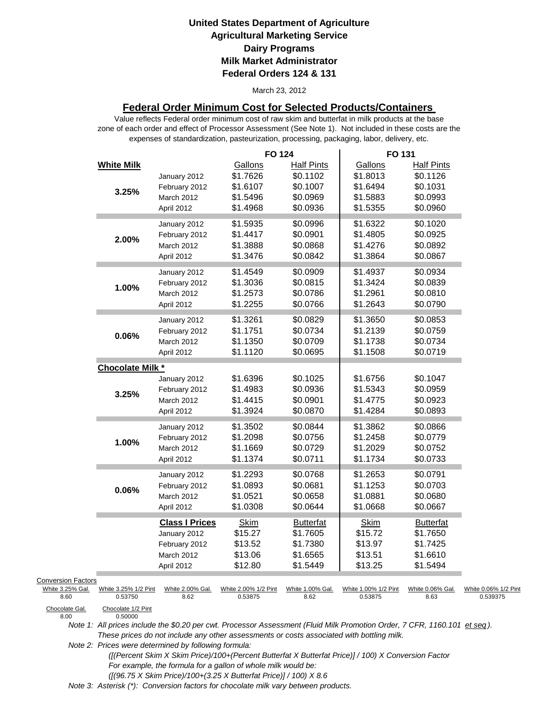#### March 23, 2012

## **Federal Order Minimum Cost for Selected Products/Containers**

zone of each order and effect of Processor Assessment (See Note 1). Not included in these costs are the expenses of standardization, pasteurization, processing, packaging, labor, delivery, etc. Value reflects Federal order minimum cost of raw skim and butterfat in milk products at the base

|                           |                               |                       | <b>FO 124</b>        |                   | FO 131               |                   |                      |
|---------------------------|-------------------------------|-----------------------|----------------------|-------------------|----------------------|-------------------|----------------------|
|                           | <b>White Milk</b>             |                       | Gallons              | <b>Half Pints</b> | Gallons              | <b>Half Pints</b> |                      |
|                           |                               | January 2012          | \$1.7626             | \$0.1102          | \$1.8013             | \$0.1126          |                      |
|                           |                               | February 2012         | \$1.6107             | \$0.1007          | \$1.6494             | \$0.1031          |                      |
|                           | 3.25%                         | March 2012            | \$1.5496             | \$0.0969          | \$1.5883             | \$0.0993          |                      |
|                           |                               | April 2012            | \$1.4968             | \$0.0936          | \$1.5355             | \$0.0960          |                      |
|                           |                               | January 2012          | \$1.5935             | \$0.0996          | \$1.6322             | \$0.1020          |                      |
|                           |                               | February 2012         | \$1.4417             | \$0.0901          | \$1.4805             | \$0.0925          |                      |
|                           | 2.00%                         | March 2012            | \$1.3888             | \$0.0868          | \$1.4276             | \$0.0892          |                      |
|                           |                               | April 2012            | \$1.3476             | \$0.0842          | \$1.3864             | \$0.0867          |                      |
|                           |                               |                       |                      |                   |                      |                   |                      |
|                           |                               | January 2012          | \$1.4549             | \$0.0909          | \$1.4937             | \$0.0934          |                      |
|                           | 1.00%                         | February 2012         | \$1.3036             | \$0.0815          | \$1.3424             | \$0.0839          |                      |
|                           |                               | March 2012            | \$1.2573             | \$0.0786          | \$1.2961             | \$0.0810          |                      |
|                           |                               | April 2012            | \$1.2255             | \$0.0766          | \$1.2643             | \$0.0790          |                      |
|                           |                               | January 2012          | \$1.3261             | \$0.0829          | \$1.3650             | \$0.0853          |                      |
|                           |                               | February 2012         | \$1.1751             | \$0.0734          | \$1.2139             | \$0.0759          |                      |
|                           | 0.06%                         | March 2012            | \$1.1350             | \$0.0709          | \$1.1738             | \$0.0734          |                      |
|                           |                               | April 2012            | \$1.1120             | \$0.0695          | \$1.1508             | \$0.0719          |                      |
|                           | Chocolate Milk *              |                       |                      |                   |                      |                   |                      |
|                           |                               | January 2012          | \$1.6396             | \$0.1025          | \$1.6756             | \$0.1047          |                      |
|                           |                               | February 2012         | \$1.4983             | \$0.0936          | \$1.5343             | \$0.0959          |                      |
|                           | 3.25%                         | March 2012            | \$1.4415             | \$0.0901          | \$1.4775             | \$0.0923          |                      |
|                           |                               |                       | \$1.3924             | \$0.0870          | \$1.4284             | \$0.0893          |                      |
|                           |                               | April 2012            |                      |                   |                      |                   |                      |
|                           |                               | January 2012          | \$1.3502             | \$0.0844          | \$1.3862             | \$0.0866          |                      |
|                           | 1.00%                         | February 2012         | \$1.2098             | \$0.0756          | \$1.2458             | \$0.0779          |                      |
|                           |                               | March 2012            | \$1.1669             | \$0.0729          | \$1.2029             | \$0.0752          |                      |
|                           |                               | April 2012            | \$1.1374             | \$0.0711          | \$1.1734             | \$0.0733          |                      |
|                           |                               | January 2012          | \$1.2293             | \$0.0768          | \$1.2653             | \$0.0791          |                      |
|                           | 0.06%                         | February 2012         | \$1.0893             | \$0.0681          | \$1.1253             | \$0.0703          |                      |
|                           |                               | March 2012            | \$1.0521             | \$0.0658          | \$1.0881             | \$0.0680          |                      |
|                           |                               | April 2012            | \$1.0308             | \$0.0644          | \$1.0668             | \$0.0667          |                      |
|                           |                               | <b>Class I Prices</b> | <b>Skim</b>          | <b>Butterfat</b>  | <b>Skim</b>          | <b>Butterfat</b>  |                      |
|                           |                               | January 2012          | \$15.27              | \$1.7605          | \$15.72              | \$1.7650          |                      |
|                           |                               | February 2012         | \$13.52              | \$1.7380          | \$13.97              | \$1.7425          |                      |
|                           |                               | March 2012            | \$13.06              | \$1.6565          | \$13.51              | \$1.6610          |                      |
|                           |                               | April 2012            | \$12.80              | \$1.5449          | \$13.25              | \$1.5494          |                      |
| <b>Conversion Factors</b> |                               |                       |                      |                   |                      |                   |                      |
| White 3.25% Gal.          | White 3.25% 1/2 Pint          | White 2.00% Gal.      | White 2.00% 1/2 Pint | White 1.00% Gal.  | White 1.00% 1/2 Pint | White 0.06% Gal.  | White 0.06% 1/2 Pint |
| 8.60                      | 0.53750                       | 8.62                  | 0.53875              | 8.62              | 0.53875              | 8.63              | 0.539375             |
| Chocolate Gal.<br>8.00    | Chocolate 1/2 Pint<br>0.50000 |                       |                      |                   |                      |                   |                      |

*Note 1: All prices include the \$0.20 per cwt. Processor Assessment (Fluid Milk Promotion Order, 7 CFR, 1160.101 et seq ). These prices do not include any other assessments or costs associated with bottling milk.*

*Note 2: Prices were determined by following formula:* 

 *([(Percent Skim X Skim Price)/100+(Percent Butterfat X Butterfat Price)] / 100) X Conversion Factor For example, the formula for a gallon of whole milk would be: ([(96.75 X Skim Price)/100+(3.25 X Butterfat Price)] / 100) X 8.6*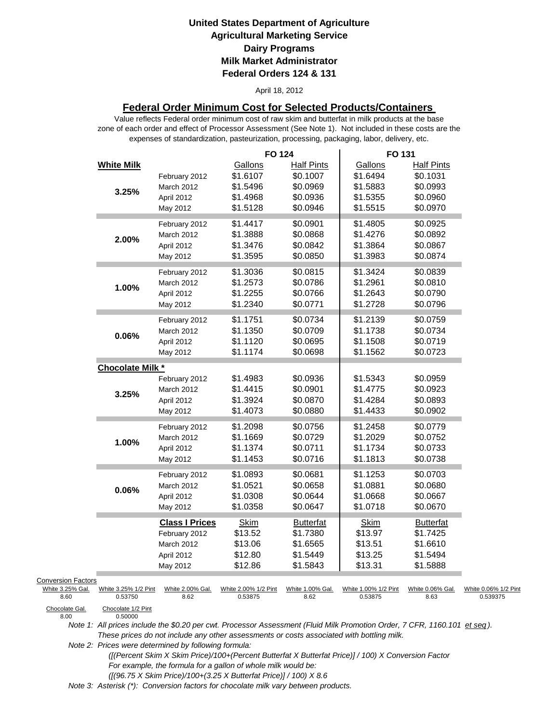#### April 18, 2012

## **Federal Order Minimum Cost for Selected Products/Containers**

zone of each order and effect of Processor Assessment (See Note 1). Not included in these costs are the expenses of standardization, pasteurization, processing, packaging, labor, delivery, etc. Value reflects Federal order minimum cost of raw skim and butterfat in milk products at the base

|                           |                                 |                          | <b>FO 124</b>                   |                               | FO 131                          |                               |                                  |
|---------------------------|---------------------------------|--------------------------|---------------------------------|-------------------------------|---------------------------------|-------------------------------|----------------------------------|
|                           | <b>White Milk</b>               | February 2012            | Gallons<br>\$1.6107             | <b>Half Pints</b><br>\$0.1007 | Gallons<br>\$1.6494             | <b>Half Pints</b><br>\$0.1031 |                                  |
|                           |                                 | March 2012               | \$1.5496                        | \$0.0969                      | \$1.5883                        | \$0.0993                      |                                  |
|                           | 3.25%                           | April 2012               | \$1.4968                        | \$0.0936                      | \$1.5355                        | \$0.0960                      |                                  |
|                           |                                 | May 2012                 | \$1.5128                        | \$0.0946                      | \$1.5515                        | \$0.0970                      |                                  |
|                           |                                 | February 2012            | \$1.4417                        | \$0.0901                      | \$1.4805                        | \$0.0925                      |                                  |
|                           | 2.00%                           | March 2012               | \$1.3888                        | \$0.0868                      | \$1.4276                        | \$0.0892                      |                                  |
|                           |                                 | April 2012               | \$1.3476                        | \$0.0842                      | \$1.3864                        | \$0.0867                      |                                  |
|                           |                                 | May 2012                 | \$1.3595                        | \$0.0850                      | \$1.3983                        | \$0.0874                      |                                  |
|                           |                                 | February 2012            | \$1.3036                        | \$0.0815                      | \$1.3424                        | \$0.0839                      |                                  |
|                           | 1.00%                           | March 2012               | \$1.2573                        | \$0.0786                      | \$1.2961                        | \$0.0810                      |                                  |
|                           |                                 | April 2012               | \$1.2255                        | \$0.0766                      | \$1.2643                        | \$0.0790                      |                                  |
|                           |                                 | May 2012                 | \$1.2340                        | \$0.0771                      | \$1.2728                        | \$0.0796                      |                                  |
|                           |                                 | February 2012            | \$1.1751                        | \$0.0734                      | \$1.2139                        | \$0.0759                      |                                  |
|                           | 0.06%                           | March 2012               | \$1.1350                        | \$0.0709                      | \$1.1738                        | \$0.0734                      |                                  |
|                           |                                 | April 2012               | \$1.1120                        | \$0.0695                      | \$1.1508                        | \$0.0719                      |                                  |
|                           |                                 | May 2012                 | \$1.1174                        | \$0.0698                      | \$1.1562                        | \$0.0723                      |                                  |
|                           | Chocolate Milk *                |                          |                                 |                               |                                 |                               |                                  |
|                           |                                 | February 2012            | \$1.4983                        | \$0.0936                      | \$1.5343                        | \$0.0959                      |                                  |
|                           | 3.25%                           | March 2012               | \$1.4415                        | \$0.0901                      | \$1.4775                        | \$0.0923                      |                                  |
|                           |                                 | April 2012               | \$1.3924                        | \$0.0870                      | \$1.4284                        | \$0.0893                      |                                  |
|                           |                                 | May 2012                 | \$1.4073                        | \$0.0880                      | \$1.4433                        | \$0.0902                      |                                  |
|                           |                                 | February 2012            | \$1.2098                        | \$0.0756                      | \$1.2458                        | \$0.0779                      |                                  |
|                           | 1.00%                           | March 2012               | \$1.1669                        | \$0.0729                      | \$1.2029                        | \$0.0752                      |                                  |
|                           |                                 | April 2012               | \$1.1374                        | \$0.0711                      | \$1.1734                        | \$0.0733                      |                                  |
|                           |                                 | May 2012                 | \$1.1453                        | \$0.0716                      | \$1.1813                        | \$0.0738                      |                                  |
|                           |                                 | February 2012            | \$1.0893                        | \$0.0681                      | \$1.1253                        | \$0.0703                      |                                  |
|                           | 0.06%                           | March 2012               | \$1.0521                        | \$0.0658                      | \$1.0881                        | \$0.0680                      |                                  |
|                           |                                 | April 2012               | \$1.0308                        | \$0.0644                      | \$1.0668                        | \$0.0667                      |                                  |
|                           |                                 | May 2012                 | \$1.0358                        | \$0.0647                      | \$1.0718                        | \$0.0670                      |                                  |
|                           |                                 | <b>Class I Prices</b>    | <b>Skim</b>                     | <b>Butterfat</b>              | <b>Skim</b>                     | <b>Butterfat</b>              |                                  |
|                           |                                 | February 2012            | \$13.52                         | \$1.7380                      | \$13.97                         | \$1.7425                      |                                  |
|                           |                                 | March 2012               | \$13.06                         | \$1.6565                      | \$13.51                         | \$1.6610                      |                                  |
|                           |                                 | April 2012               | \$12.80                         | \$1.5449                      | \$13.25                         | \$1.5494                      |                                  |
|                           |                                 | May 2012                 | \$12.86                         | \$1.5843                      | \$13.31                         | \$1.5888                      |                                  |
| <b>Conversion Factors</b> |                                 |                          |                                 |                               |                                 |                               |                                  |
| White 3.25% Gal.<br>8.60  | White 3.25% 1/2 Pint<br>0.53750 | White 2.00% Gal.<br>8.62 | White 2.00% 1/2 Pint<br>0.53875 | White 1.00% Gal.<br>8.62      | White 1.00% 1/2 Pint<br>0.53875 | White 0.06% Gal.<br>8.63      | White 0.06% 1/2 Pint<br>0.539375 |
| Chocolate Gal.<br>8.00    | Chocolate 1/2 Pint<br>0.50000   |                          |                                 |                               |                                 |                               |                                  |

Chocolate Gal.<br>8.00

*Note 1: All prices include the \$0.20 per cwt. Processor Assessment (Fluid Milk Promotion Order, 7 CFR, 1160.101 et seq ). These prices do not include any other assessments or costs associated with bottling milk.*

*Note 2: Prices were determined by following formula:* 

 *([(Percent Skim X Skim Price)/100+(Percent Butterfat X Butterfat Price)] / 100) X Conversion Factor For example, the formula for a gallon of whole milk would be: ([(96.75 X Skim Price)/100+(3.25 X Butterfat Price)] / 100) X 8.6*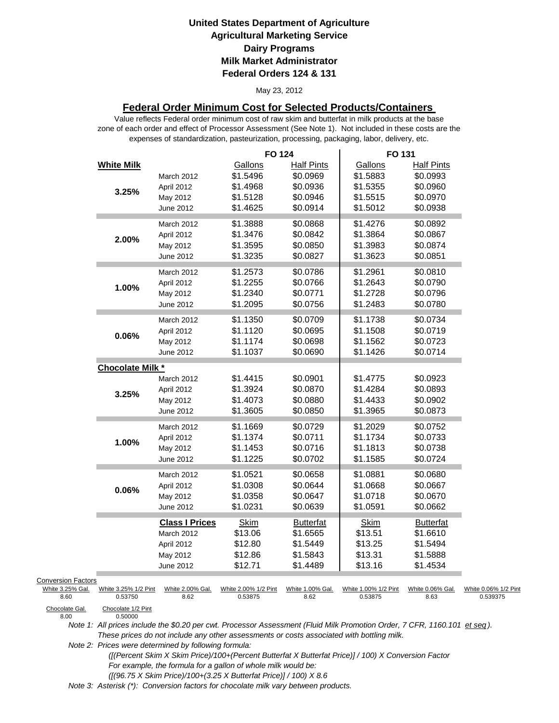#### May 23, 2012

## **Federal Order Minimum Cost for Selected Products/Containers**

zone of each order and effect of Processor Assessment (See Note 1). Not included in these costs are the expenses of standardization, pasteurization, processing, packaging, labor, delivery, etc. Value reflects Federal order minimum cost of raw skim and butterfat in milk products at the base

|                           |                               |                       | <b>FO 124</b>        |                   | FO 131               |                   |                      |
|---------------------------|-------------------------------|-----------------------|----------------------|-------------------|----------------------|-------------------|----------------------|
|                           | <b>White Milk</b>             |                       | Gallons              | <b>Half Pints</b> | Gallons              | <b>Half Pints</b> |                      |
|                           |                               | March 2012            | \$1.5496             | \$0.0969          | \$1.5883             | \$0.0993          |                      |
|                           | 3.25%                         | April 2012            | \$1.4968             | \$0.0936          | \$1.5355             | \$0.0960          |                      |
|                           |                               | May 2012              | \$1.5128             | \$0.0946          | \$1.5515             | \$0.0970          |                      |
|                           |                               | June 2012             | \$1.4625             | \$0.0914          | \$1.5012             | \$0.0938          |                      |
|                           |                               | March 2012            | \$1.3888             | \$0.0868          | \$1.4276             | \$0.0892          |                      |
|                           |                               | April 2012            | \$1.3476             | \$0.0842          | \$1.3864             | \$0.0867          |                      |
|                           | 2.00%                         | May 2012              | \$1.3595             | \$0.0850          | \$1.3983             | \$0.0874          |                      |
|                           |                               | June 2012             | \$1.3235             | \$0.0827          | \$1.3623             | \$0.0851          |                      |
|                           |                               | March 2012            | \$1.2573             | \$0.0786          | \$1.2961             | \$0.0810          |                      |
|                           |                               | April 2012            | \$1.2255             | \$0.0766          | \$1.2643             | \$0.0790          |                      |
|                           | 1.00%                         | May 2012              | \$1.2340             | \$0.0771          | \$1.2728             | \$0.0796          |                      |
|                           |                               | June 2012             | \$1.2095             | \$0.0756          | \$1.2483             | \$0.0780          |                      |
|                           |                               |                       |                      |                   |                      |                   |                      |
|                           |                               | March 2012            | \$1.1350             | \$0.0709          | \$1.1738             | \$0.0734          |                      |
|                           | 0.06%                         | April 2012            | \$1.1120             | \$0.0695          | \$1.1508             | \$0.0719          |                      |
|                           |                               | May 2012              | \$1.1174             | \$0.0698          | \$1.1562             | \$0.0723          |                      |
|                           |                               | June 2012             | \$1.1037             | \$0.0690          | \$1.1426             | \$0.0714          |                      |
|                           | Chocolate Milk *              |                       |                      |                   |                      |                   |                      |
|                           |                               | March 2012            | \$1.4415             | \$0.0901          | \$1.4775             | \$0.0923          |                      |
|                           | 3.25%                         | April 2012            | \$1.3924             | \$0.0870          | \$1.4284             | \$0.0893          |                      |
|                           |                               | May 2012              | \$1.4073             | \$0.0880          | \$1.4433             | \$0.0902          |                      |
|                           |                               | June 2012             | \$1.3605             | \$0.0850          | \$1.3965             | \$0.0873          |                      |
|                           |                               | March 2012            | \$1.1669             | \$0.0729          | \$1.2029             | \$0.0752          |                      |
|                           | 1.00%                         | April 2012            | \$1.1374             | \$0.0711          | \$1.1734             | \$0.0733          |                      |
|                           |                               | May 2012              | \$1.1453             | \$0.0716          | \$1.1813             | \$0.0738          |                      |
|                           |                               | June 2012             | \$1.1225             | \$0.0702          | \$1.1585             | \$0.0724          |                      |
|                           |                               | March 2012            | \$1.0521             | \$0.0658          | \$1.0881             | \$0.0680          |                      |
|                           | 0.06%                         | April 2012            | \$1.0308             | \$0.0644          | \$1.0668             | \$0.0667          |                      |
|                           |                               | May 2012              | \$1.0358             | \$0.0647          | \$1.0718             | \$0.0670          |                      |
|                           |                               | June 2012             | \$1.0231             | \$0.0639          | \$1.0591             | \$0.0662          |                      |
|                           |                               | <b>Class I Prices</b> | <b>Skim</b>          | <b>Butterfat</b>  | <b>Skim</b>          | <b>Butterfat</b>  |                      |
|                           |                               | March 2012            | \$13.06              | \$1.6565          | \$13.51              | \$1.6610          |                      |
|                           |                               | April 2012            | \$12.80              | \$1.5449          | \$13.25              | \$1.5494          |                      |
|                           |                               | May 2012              | \$12.86              | \$1.5843          | \$13.31              | \$1.5888          |                      |
|                           |                               | June 2012             | \$12.71              | \$1.4489          | \$13.16              | \$1.4534          |                      |
| <b>Conversion Factors</b> |                               |                       |                      |                   |                      |                   |                      |
| White 3.25% Gal.          | White 3.25% 1/2 Pint          | White 2.00% Gal.      | White 2.00% 1/2 Pint | White 1.00% Gal.  | White 1.00% 1/2 Pint | White 0.06% Gal.  | White 0.06% 1/2 Pint |
| 8.60                      | 0.53750                       | 8.62                  | 0.53875              | 8.62              | 0.53875              | 8.63              | 0.539375             |
| Chocolate Gal.<br>8.00    | Chocolate 1/2 Pint<br>0.50000 |                       |                      |                   |                      |                   |                      |

Chocolate Gal.<br>8.00

*Note 1: All prices include the \$0.20 per cwt. Processor Assessment (Fluid Milk Promotion Order, 7 CFR, 1160.101 et seq ). These prices do not include any other assessments or costs associated with bottling milk.*

*Note 2: Prices were determined by following formula:* 

 *([(Percent Skim X Skim Price)/100+(Percent Butterfat X Butterfat Price)] / 100) X Conversion Factor For example, the formula for a gallon of whole milk would be: ([(96.75 X Skim Price)/100+(3.25 X Butterfat Price)] / 100) X 8.6*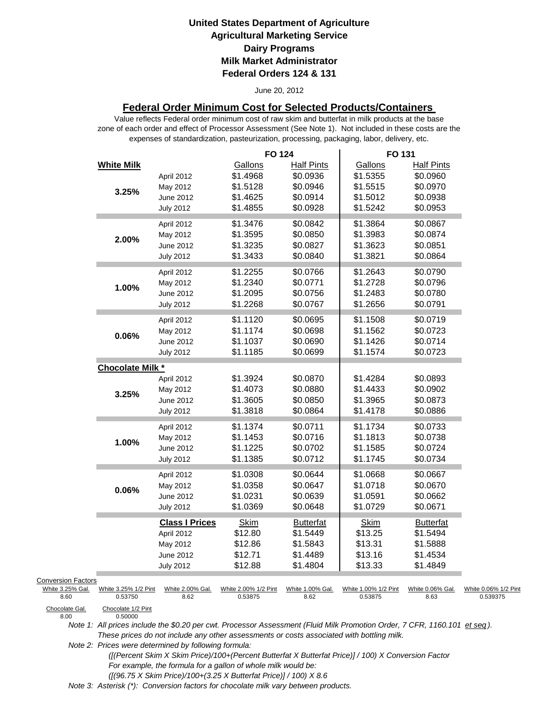#### June 20, 2012

## **Federal Order Minimum Cost for Selected Products/Containers**

zone of each order and effect of Processor Assessment (See Note 1). Not included in these costs are the expenses of standardization, pasteurization, processing, packaging, labor, delivery, etc. Value reflects Federal order minimum cost of raw skim and butterfat in milk products at the base

|                                                       |                                 |                                                              | <b>FO 124</b>                                |                                                      | FO 131                                       |                                                      |                                  |
|-------------------------------------------------------|---------------------------------|--------------------------------------------------------------|----------------------------------------------|------------------------------------------------------|----------------------------------------------|------------------------------------------------------|----------------------------------|
|                                                       | <b>White Milk</b>               | April 2012<br>May 2012                                       | Gallons<br>\$1.4968<br>\$1.5128              | <b>Half Pints</b><br>\$0.0936<br>\$0.0946            | Gallons<br>\$1.5355<br>\$1.5515              | <b>Half Pints</b><br>\$0.0960<br>\$0.0970            |                                  |
|                                                       | 3.25%                           | June 2012<br><b>July 2012</b>                                | \$1.4625<br>\$1.4855                         | \$0.0914<br>\$0.0928                                 | \$1.5012<br>\$1.5242                         | \$0.0938<br>\$0.0953                                 |                                  |
|                                                       | 2.00%                           | April 2012<br>May 2012<br>June 2012<br><b>July 2012</b>      | \$1.3476<br>\$1.3595<br>\$1.3235<br>\$1.3433 | \$0.0842<br>\$0.0850<br>\$0.0827<br>\$0.0840         | \$1.3864<br>\$1.3983<br>\$1.3623<br>\$1.3821 | \$0.0867<br>\$0.0874<br>\$0.0851<br>\$0.0864         |                                  |
|                                                       | 1.00%                           | April 2012<br>May 2012<br>June 2012<br><b>July 2012</b>      | \$1.2255<br>\$1.2340<br>\$1.2095<br>\$1.2268 | \$0.0766<br>\$0.0771<br>\$0.0756<br>\$0.0767         | \$1.2643<br>\$1.2728<br>\$1.2483<br>\$1.2656 | \$0.0790<br>\$0.0796<br>\$0.0780<br>\$0.0791         |                                  |
|                                                       | $0.06\%$                        | April 2012<br>May 2012<br>June 2012<br><b>July 2012</b>      | \$1.1120<br>\$1.1174<br>\$1.1037<br>\$1.1185 | \$0.0695<br>\$0.0698<br>\$0.0690<br>\$0.0699         | \$1.1508<br>\$1.1562<br>\$1.1426<br>\$1.1574 | \$0.0719<br>\$0.0723<br>\$0.0714<br>\$0.0723         |                                  |
|                                                       | <b>Chocolate Milk *</b>         |                                                              |                                              |                                                      |                                              |                                                      |                                  |
|                                                       | 3.25%                           | April 2012<br>May 2012<br>June 2012<br><b>July 2012</b>      | \$1.3924<br>\$1.4073<br>\$1.3605<br>\$1.3818 | \$0.0870<br>\$0.0880<br>\$0.0850<br>\$0.0864         | \$1.4284<br>\$1.4433<br>\$1.3965<br>\$1.4178 | \$0.0893<br>\$0.0902<br>\$0.0873<br>\$0.0886         |                                  |
|                                                       | 1.00%                           | April 2012<br>May 2012<br>June 2012<br><b>July 2012</b>      | \$1.1374<br>\$1.1453<br>\$1.1225<br>\$1.1385 | \$0.0711<br>\$0.0716<br>\$0.0702<br>\$0.0712         | \$1.1734<br>\$1.1813<br>\$1.1585<br>\$1.1745 | \$0.0733<br>\$0.0738<br>\$0.0724<br>\$0.0734         |                                  |
|                                                       | 0.06%                           | April 2012<br>May 2012<br>June 2012<br><b>July 2012</b>      | \$1.0308<br>\$1.0358<br>\$1.0231<br>\$1.0369 | \$0.0644<br>\$0.0647<br>\$0.0639<br>\$0.0648         | \$1.0668<br>\$1.0718<br>\$1.0591<br>\$1.0729 | \$0.0667<br>\$0.0670<br>\$0.0662<br>\$0.0671         |                                  |
|                                                       |                                 | <b>Class I Prices</b><br>April 2012<br>May 2012<br>June 2012 | <b>Skim</b><br>\$12.80<br>\$12.86<br>\$12.71 | <b>Butterfat</b><br>\$1.5449<br>\$1.5843<br>\$1.4489 | Skim<br>\$13.25<br>\$13.31<br>\$13.16        | <b>Butterfat</b><br>\$1.5494<br>\$1.5888<br>\$1.4534 |                                  |
| <b>Conversion Factors</b><br>White 3.25% Gal.<br>8.60 | White 3.25% 1/2 Pint<br>0.53750 | <b>July 2012</b><br>White 2.00% Gal.<br>8.62                 | \$12.88<br>White 2.00% 1/2 Pint<br>0.53875   | \$1.4804<br>White 1.00% Gal.<br>8.62                 | \$13.33<br>White 1.00% 1/2 Pint<br>0.53875   | \$1.4849<br>White 0.06% Gal.<br>8.63                 | White 0.06% 1/2 Pint<br>0.539375 |
| Chocolate Gal.<br>8.00                                | Chocolate 1/2 Pint<br>0.50000   |                                                              |                                              |                                                      |                                              |                                                      |                                  |

Chocolate Gal.<br>8.00

*Note 1: All prices include the \$0.20 per cwt. Processor Assessment (Fluid Milk Promotion Order, 7 CFR, 1160.101 et seq ). These prices do not include any other assessments or costs associated with bottling milk.*

*Note 2: Prices were determined by following formula:* 

 *([(Percent Skim X Skim Price)/100+(Percent Butterfat X Butterfat Price)] / 100) X Conversion Factor For example, the formula for a gallon of whole milk would be: ([(96.75 X Skim Price)/100+(3.25 X Butterfat Price)] / 100) X 8.6*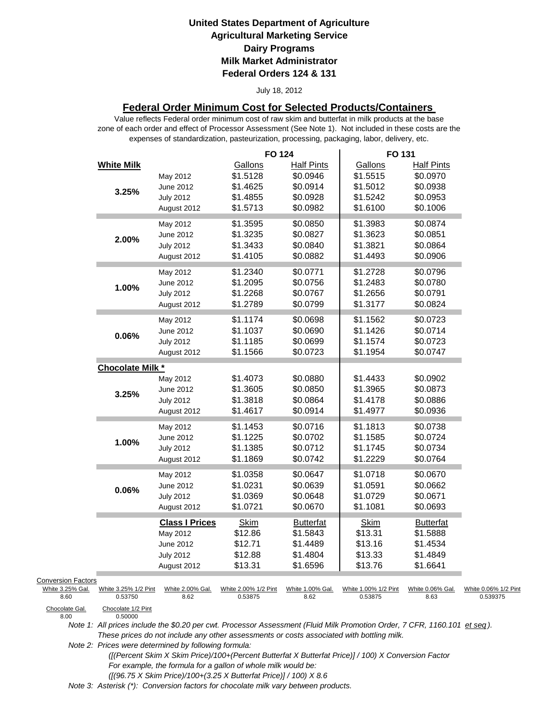#### July 18, 2012

## **Federal Order Minimum Cost for Selected Products/Containers**

zone of each order and effect of Processor Assessment (See Note 1). Not included in these costs are the expenses of standardization, pasteurization, processing, packaging, labor, delivery, etc. Value reflects Federal order minimum cost of raw skim and butterfat in milk products at the base

|                           |                               |                       | <b>FO 124</b>        |                               | FO 131               |                               |                      |
|---------------------------|-------------------------------|-----------------------|----------------------|-------------------------------|----------------------|-------------------------------|----------------------|
|                           | <b>White Milk</b>             | May 2012              | Gallons<br>\$1.5128  | <b>Half Pints</b><br>\$0.0946 | Gallons<br>\$1.5515  | <b>Half Pints</b><br>\$0.0970 |                      |
|                           |                               | June 2012             | \$1.4625             | \$0.0914                      | \$1.5012             | \$0.0938                      |                      |
|                           | 3.25%                         | <b>July 2012</b>      | \$1.4855             | \$0.0928                      | \$1.5242             | \$0.0953                      |                      |
|                           |                               | August 2012           | \$1.5713             | \$0.0982                      | \$1.6100             | \$0.1006                      |                      |
|                           |                               |                       |                      |                               |                      |                               |                      |
|                           |                               | May 2012              | \$1.3595             | \$0.0850                      | \$1.3983             | \$0.0874                      |                      |
|                           | 2.00%                         | June 2012             | \$1.3235             | \$0.0827                      | \$1.3623             | \$0.0851                      |                      |
|                           |                               | <b>July 2012</b>      | \$1.3433             | \$0.0840                      | \$1.3821             | \$0.0864                      |                      |
|                           |                               | August 2012           | \$1.4105             | \$0.0882                      | \$1.4493             | \$0.0906                      |                      |
|                           |                               | May 2012              | \$1.2340             | \$0.0771                      | \$1.2728             | \$0.0796                      |                      |
|                           |                               | June 2012             | \$1.2095             | \$0.0756                      | \$1.2483             | \$0.0780                      |                      |
|                           | 1.00%                         | <b>July 2012</b>      | \$1.2268             | \$0.0767                      | \$1.2656             | \$0.0791                      |                      |
|                           |                               | August 2012           | \$1.2789             | \$0.0799                      | \$1.3177             | \$0.0824                      |                      |
|                           |                               |                       |                      |                               |                      |                               |                      |
|                           |                               | May 2012              | \$1.1174             | \$0.0698                      | \$1.1562             | \$0.0723                      |                      |
|                           | 0.06%                         | June 2012             | \$1.1037             | \$0.0690                      | \$1.1426             | \$0.0714                      |                      |
|                           |                               | <b>July 2012</b>      | \$1.1185             | \$0.0699                      | \$1.1574             | \$0.0723                      |                      |
|                           |                               | August 2012           | \$1.1566             | \$0.0723                      | \$1.1954             | \$0.0747                      |                      |
|                           | <b>Chocolate Milk *</b>       |                       |                      |                               |                      |                               |                      |
|                           |                               | May 2012              | \$1.4073             | \$0.0880                      | \$1.4433             | \$0.0902                      |                      |
|                           |                               | June 2012             | \$1.3605             | \$0.0850                      | \$1.3965             | \$0.0873                      |                      |
|                           | 3.25%                         | <b>July 2012</b>      | \$1.3818             | \$0.0864                      | \$1.4178             | \$0.0886                      |                      |
|                           |                               | August 2012           | \$1.4617             | \$0.0914                      | \$1.4977             | \$0.0936                      |                      |
|                           |                               | May 2012              | \$1.1453             | \$0.0716                      | \$1.1813             | \$0.0738                      |                      |
|                           |                               | June 2012             | \$1.1225             | \$0.0702                      | \$1.1585             | \$0.0724                      |                      |
|                           | 1.00%                         |                       | \$1.1385             | \$0.0712                      | \$1.1745             | \$0.0734                      |                      |
|                           |                               | <b>July 2012</b>      | \$1.1869             | \$0.0742                      | \$1.2229             | \$0.0764                      |                      |
|                           |                               | August 2012           |                      |                               |                      |                               |                      |
|                           |                               | May 2012              | \$1.0358             | \$0.0647                      | \$1.0718             | \$0.0670                      |                      |
|                           | 0.06%                         | June 2012             | \$1.0231             | \$0.0639                      | \$1.0591             | \$0.0662                      |                      |
|                           |                               | <b>July 2012</b>      | \$1.0369             | \$0.0648                      | \$1.0729             | \$0.0671                      |                      |
|                           |                               | August 2012           | \$1.0721             | \$0.0670                      | \$1.1081             | \$0.0693                      |                      |
|                           |                               | <b>Class I Prices</b> | <b>Skim</b>          | <b>Butterfat</b>              | <b>Skim</b>          | <b>Butterfat</b>              |                      |
|                           |                               | May 2012              | \$12.86              | \$1.5843                      | \$13.31              | \$1.5888                      |                      |
|                           |                               | June 2012             | \$12.71              | \$1.4489                      | \$13.16              | \$1.4534                      |                      |
|                           |                               | <b>July 2012</b>      | \$12.88              | \$1.4804                      | \$13.33              | \$1.4849                      |                      |
|                           |                               | August 2012           | \$13.31              | \$1.6596                      | \$13.76              | \$1.6641                      |                      |
| <b>Conversion Factors</b> |                               |                       |                      |                               |                      |                               |                      |
| White 3.25% Gal.          | White 3.25% 1/2 Pint          | White 2.00% Gal.      | White 2.00% 1/2 Pint | White 1.00% Gal.              | White 1.00% 1/2 Pint | White 0.06% Gal.              | White 0.06% 1/2 Pint |
| 8.60                      | 0.53750                       | 8.62                  | 0.53875              | 8.62                          | 0.53875              | 8.63                          | 0.539375             |
| Chocolate Gal.<br>8.00    | Chocolate 1/2 Pint<br>0.50000 |                       |                      |                               |                      |                               |                      |

*Note 1: All prices include the \$0.20 per cwt. Processor Assessment (Fluid Milk Promotion Order, 7 CFR, 1160.101 et seq ). These prices do not include any other assessments or costs associated with bottling milk.*

*Note 2: Prices were determined by following formula:* 

 *([(Percent Skim X Skim Price)/100+(Percent Butterfat X Butterfat Price)] / 100) X Conversion Factor For example, the formula for a gallon of whole milk would be: ([(96.75 X Skim Price)/100+(3.25 X Butterfat Price)] / 100) X 8.6*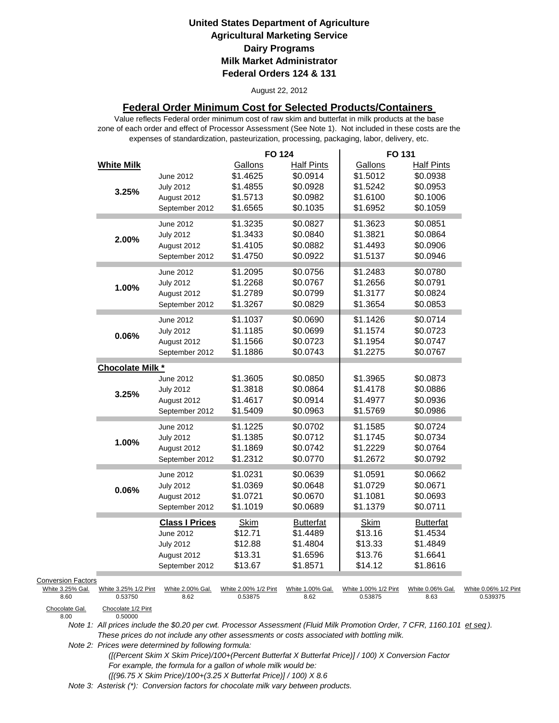#### August 22, 2012

## **Federal Order Minimum Cost for Selected Products/Containers**

zone of each order and effect of Processor Assessment (See Note 1). Not included in these costs are the expenses of standardization, pasteurization, processing, packaging, labor, delivery, etc. Value reflects Federal order minimum cost of raw skim and butterfat in milk products at the base

|                                                       |                                 |                                                                                         | <b>FO 124</b>                                           |                                                                   | FO 131                                                  |                                                                   |                                  |
|-------------------------------------------------------|---------------------------------|-----------------------------------------------------------------------------------------|---------------------------------------------------------|-------------------------------------------------------------------|---------------------------------------------------------|-------------------------------------------------------------------|----------------------------------|
|                                                       | <b>White Milk</b><br>3.25%      | June 2012<br><b>July 2012</b><br>August 2012                                            | Gallons<br>\$1.4625<br>\$1.4855<br>\$1.5713<br>\$1.6565 | <b>Half Pints</b><br>\$0.0914<br>\$0.0928<br>\$0.0982<br>\$0.1035 | Gallons<br>\$1.5012<br>\$1.5242<br>\$1.6100<br>\$1.6952 | <b>Half Pints</b><br>\$0.0938<br>\$0.0953<br>\$0.1006<br>\$0.1059 |                                  |
|                                                       | 2.00%                           | September 2012<br>June 2012<br><b>July 2012</b><br>August 2012<br>September 2012        | \$1.3235<br>\$1.3433<br>\$1.4105<br>\$1.4750            | \$0.0827<br>\$0.0840<br>\$0.0882<br>\$0.0922                      | \$1.3623<br>\$1.3821<br>\$1.4493<br>\$1.5137            | \$0.0851<br>\$0.0864<br>\$0.0906<br>\$0.0946                      |                                  |
|                                                       | 1.00%                           | June 2012<br><b>July 2012</b><br>August 2012<br>September 2012                          | \$1.2095<br>\$1.2268<br>\$1.2789<br>\$1.3267            | \$0.0756<br>\$0.0767<br>\$0.0799<br>\$0.0829                      | \$1.2483<br>\$1.2656<br>\$1.3177<br>\$1.3654            | \$0.0780<br>\$0.0791<br>\$0.0824<br>\$0.0853                      |                                  |
|                                                       | 0.06%                           | June 2012<br><b>July 2012</b><br>August 2012<br>September 2012                          | \$1.1037<br>\$1.1185<br>\$1.1566<br>\$1.1886            | \$0.0690<br>\$0.0699<br>\$0.0723<br>\$0.0743                      | \$1.1426<br>\$1.1574<br>\$1.1954<br>\$1.2275            | \$0.0714<br>\$0.0723<br>\$0.0747<br>\$0.0767                      |                                  |
|                                                       | <b>Chocolate Milk *</b>         |                                                                                         |                                                         |                                                                   |                                                         |                                                                   |                                  |
|                                                       | 3.25%                           | June 2012<br><b>July 2012</b><br>August 2012<br>September 2012                          | \$1.3605<br>\$1.3818<br>\$1.4617<br>\$1.5409            | \$0.0850<br>\$0.0864<br>\$0.0914<br>\$0.0963                      | \$1.3965<br>\$1.4178<br>\$1.4977<br>\$1.5769            | \$0.0873<br>\$0.0886<br>\$0.0936<br>\$0.0986                      |                                  |
|                                                       | 1.00%                           | June 2012<br><b>July 2012</b><br>August 2012<br>September 2012                          | \$1.1225<br>\$1.1385<br>\$1.1869<br>\$1.2312            | \$0.0702<br>\$0.0712<br>\$0.0742<br>\$0.0770                      | \$1.1585<br>\$1.1745<br>\$1.2229<br>\$1.2672            | \$0.0724<br>\$0.0734<br>\$0.0764<br>\$0.0792                      |                                  |
|                                                       | 0.06%                           | June 2012<br><b>July 2012</b><br>August 2012<br>September 2012                          | \$1.0231<br>\$1.0369<br>\$1.0721<br>\$1.1019            | \$0.0639<br>\$0.0648<br>\$0.0670<br>\$0.0689                      | \$1.0591<br>\$1.0729<br>\$1.1081<br>\$1.1379            | \$0.0662<br>\$0.0671<br>\$0.0693<br>\$0.0711                      |                                  |
|                                                       |                                 | <b>Class I Prices</b><br>June 2012<br><b>July 2012</b><br>August 2012<br>September 2012 | <b>Skim</b><br>\$12.71<br>\$12.88<br>\$13.31<br>\$13.67 | <b>Butterfat</b><br>\$1.4489<br>\$1.4804<br>\$1.6596<br>\$1.8571  | Skim<br>\$13.16<br>\$13.33<br>\$13.76<br>\$14.12        | <b>Butterfat</b><br>\$1.4534<br>\$1.4849<br>\$1.6641<br>\$1.8616  |                                  |
| <b>Conversion Factors</b><br>White 3.25% Gal.<br>8.60 | White 3.25% 1/2 Pint<br>0.53750 | White 2.00% Gal.<br>8.62                                                                | White 2.00% 1/2 Pint<br>0.53875                         | White 1.00% Gal.<br>8.62                                          | White 1.00% 1/2 Pint<br>0.53875                         | White 0.06% Gal.<br>8.63                                          | White 0.06% 1/2 Pint<br>0.539375 |
| Chocolate Gal.<br>8.00                                | Chocolate 1/2 Pint<br>O 50000   |                                                                                         |                                                         |                                                                   |                                                         |                                                                   |                                  |

*Note 1: All prices include the \$0.20 per cwt. Processor Assessment (Fluid Milk Promotion Order, 7 CFR, 1160.101 et seq ). These prices do not include any other assessments or costs associated with bottling milk.*

*Note 2: Prices were determined by following formula:* 

> *([(Percent Skim X Skim Price)/100+(Percent Butterfat X Butterfat Price)] / 100) X Conversion Factor For example, the formula for a gallon of whole milk would be: ([(96.75 X Skim Price)/100+(3.25 X Butterfat Price)] / 100) X 8.6*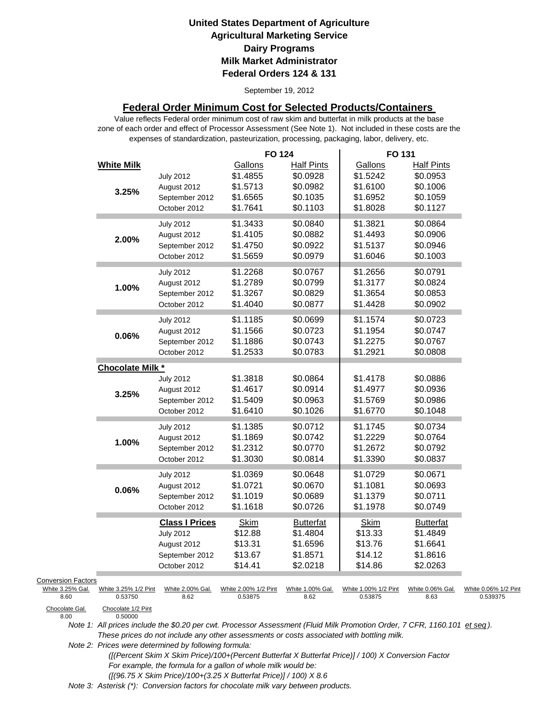September 19, 2012

## **Federal Order Minimum Cost for Selected Products/Containers**

zone of each order and effect of Processor Assessment (See Note 1). Not included in these costs are the expenses of standardization, pasteurization, processing, packaging, labor, delivery, etc. Value reflects Federal order minimum cost of raw skim and butterfat in milk products at the base

|                                                       |                                 |                                                                                            | <b>FO 124</b>                                           |                                                                   | FO 131                                                  |                                                                   |                                  |
|-------------------------------------------------------|---------------------------------|--------------------------------------------------------------------------------------------|---------------------------------------------------------|-------------------------------------------------------------------|---------------------------------------------------------|-------------------------------------------------------------------|----------------------------------|
|                                                       | <b>White Milk</b><br>3.25%      | <b>July 2012</b><br>August 2012<br>September 2012<br>October 2012                          | Gallons<br>\$1.4855<br>\$1.5713<br>\$1.6565<br>\$1.7641 | <b>Half Pints</b><br>\$0.0928<br>\$0.0982<br>\$0.1035<br>\$0.1103 | Gallons<br>\$1.5242<br>\$1.6100<br>\$1.6952<br>\$1.8028 | <b>Half Pints</b><br>\$0.0953<br>\$0.1006<br>\$0.1059<br>\$0.1127 |                                  |
|                                                       | 2.00%                           | <b>July 2012</b><br>August 2012<br>September 2012<br>October 2012                          | \$1.3433<br>\$1.4105<br>\$1.4750<br>\$1.5659            | \$0.0840<br>\$0.0882<br>\$0.0922<br>\$0.0979                      | \$1.3821<br>\$1.4493<br>\$1.5137<br>\$1.6046            | \$0.0864<br>\$0.0906<br>\$0.0946<br>\$0.1003                      |                                  |
|                                                       | 1.00%                           | <b>July 2012</b><br>August 2012<br>September 2012<br>October 2012                          | \$1.2268<br>\$1.2789<br>\$1.3267<br>\$1.4040            | \$0.0767<br>\$0.0799<br>\$0.0829<br>\$0.0877                      | \$1.2656<br>\$1.3177<br>\$1.3654<br>\$1.4428            | \$0.0791<br>\$0.0824<br>\$0.0853<br>\$0.0902                      |                                  |
|                                                       | $0.06\%$                        | <b>July 2012</b><br>August 2012<br>September 2012<br>October 2012                          | \$1.1185<br>\$1.1566<br>\$1.1886<br>\$1.2533            | \$0.0699<br>\$0.0723<br>\$0.0743<br>\$0.0783                      | \$1.1574<br>\$1.1954<br>\$1.2275<br>\$1.2921            | \$0.0723<br>\$0.0747<br>\$0.0767<br>\$0.0808                      |                                  |
|                                                       | <b>Chocolate Milk *</b>         |                                                                                            |                                                         |                                                                   |                                                         |                                                                   |                                  |
|                                                       | 3.25%                           | <b>July 2012</b><br>August 2012<br>September 2012<br>October 2012                          | \$1.3818<br>\$1.4617<br>\$1.5409<br>\$1.6410            | \$0.0864<br>\$0.0914<br>\$0.0963<br>\$0.1026                      | \$1.4178<br>\$1.4977<br>\$1.5769<br>\$1.6770            | \$0.0886<br>\$0.0936<br>\$0.0986<br>\$0.1048                      |                                  |
|                                                       | 1.00%                           | <b>July 2012</b><br>August 2012<br>September 2012<br>October 2012                          | \$1.1385<br>\$1.1869<br>\$1.2312<br>\$1.3030            | \$0.0712<br>\$0.0742<br>\$0.0770<br>\$0.0814                      | \$1.1745<br>\$1.2229<br>\$1.2672<br>\$1.3390            | \$0.0734<br>\$0.0764<br>\$0.0792<br>\$0.0837                      |                                  |
|                                                       | 0.06%                           | <b>July 2012</b><br>August 2012<br>September 2012<br>October 2012                          | \$1.0369<br>\$1.0721<br>\$1.1019<br>\$1.1618            | \$0.0648<br>\$0.0670<br>\$0.0689<br>\$0.0726                      | \$1.0729<br>\$1.1081<br>\$1.1379<br>\$1.1978            | \$0.0671<br>\$0.0693<br>\$0.0711<br>\$0.0749                      |                                  |
|                                                       |                                 | <b>Class I Prices</b><br><b>July 2012</b><br>August 2012<br>September 2012<br>October 2012 | <b>Skim</b><br>\$12.88<br>\$13.31<br>\$13.67<br>\$14.41 | <b>Butterfat</b><br>\$1.4804<br>\$1.6596<br>\$1.8571<br>\$2.0218  | Skim<br>\$13.33<br>\$13.76<br>\$14.12<br>\$14.86        | <b>Butterfat</b><br>\$1.4849<br>\$1.6641<br>\$1.8616<br>\$2.0263  |                                  |
| <b>Conversion Factors</b><br>White 3.25% Gal.<br>8.60 | White 3.25% 1/2 Pint<br>0.53750 | White 2.00% Gal.<br>8.62                                                                   | White 2.00% 1/2 Pint<br>0.53875                         | White 1.00% Gal.<br>8.62                                          | White 1.00% 1/2 Pint<br>0.53875                         | White 0.06% Gal.<br>8.63                                          | White 0.06% 1/2 Pint<br>0.539375 |
| Chocolate Gal.<br>8.00                                | Chocolate 1/2 Pint<br>0.50000   |                                                                                            |                                                         |                                                                   |                                                         |                                                                   |                                  |

Chocolate Gal.<br>8.00

*Note 1: All prices include the \$0.20 per cwt. Processor Assessment (Fluid Milk Promotion Order, 7 CFR, 1160.101 et seq ). These prices do not include any other assessments or costs associated with bottling milk.*

*Note 2: Prices were determined by following formula:* 

 *([(Percent Skim X Skim Price)/100+(Percent Butterfat X Butterfat Price)] / 100) X Conversion Factor For example, the formula for a gallon of whole milk would be: ([(96.75 X Skim Price)/100+(3.25 X Butterfat Price)] / 100) X 8.6*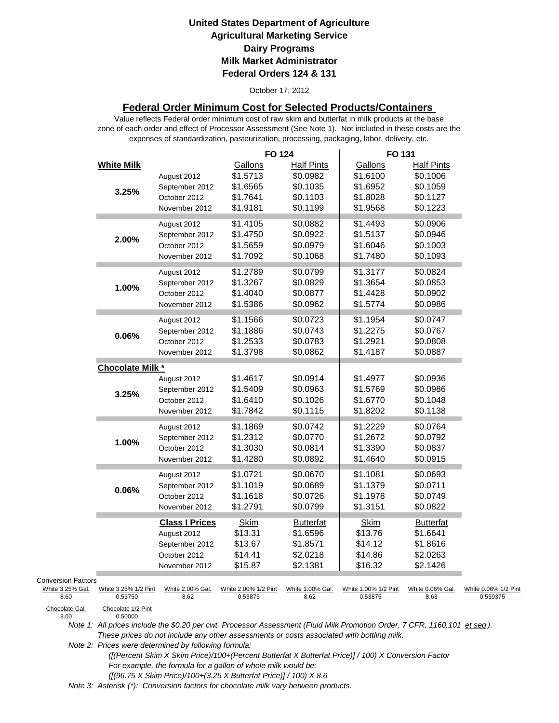### October 17, 2012

## **Federal Order Minimum Cost for Selected Products/Containers**

zone of each order and effect of Processor Assessment (See Note 1). Not included in these costs are the expenses of standardization, pasteurization, processing, packaging, labor, delivery, etc. Value reflects Federal order minimum cost of raw skim and butterfat in milk products at the base

|                                               |                         |                       | <b>FO 124</b>        |                   | FO 131               |                   |                      |
|-----------------------------------------------|-------------------------|-----------------------|----------------------|-------------------|----------------------|-------------------|----------------------|
|                                               | <b>White Milk</b>       |                       | Gallons              | <b>Half Pints</b> | Gallons              | <b>Half Pints</b> |                      |
|                                               |                         | August 2012           | \$1.5713             | \$0.0982          | \$1.6100             | \$0.1006          |                      |
|                                               |                         | September 2012        | \$1.6565             | \$0.1035          | \$1.6952             | \$0.1059          |                      |
|                                               | 3.25%                   | October 2012          | \$1.7641             | \$0.1103          | \$1.8028             | \$0.1127          |                      |
|                                               |                         | November 2012         | \$1.9181             | \$0.1199          | \$1.9568             | \$0.1223          |                      |
|                                               |                         | August 2012           | \$1.4105             | \$0.0882          | \$1.4493             | \$0.0906          |                      |
|                                               |                         | September 2012        | \$1.4750             | \$0.0922          | \$1.5137             | \$0.0946          |                      |
|                                               | 2.00%                   | October 2012          | \$1.5659             | \$0.0979          | \$1.6046             | \$0.1003          |                      |
|                                               |                         | November 2012         | \$1.7092             | \$0.1068          | \$1.7480             | \$0.1093          |                      |
|                                               |                         |                       |                      |                   |                      |                   |                      |
|                                               |                         | August 2012           | \$1.2789             | \$0.0799          | \$1.3177             | \$0.0824          |                      |
|                                               | 1.00%                   | September 2012        | \$1.3267             | \$0.0829          | \$1.3654             | \$0.0853          |                      |
|                                               |                         | October 2012          | \$1.4040             | \$0.0877          | \$1.4428             | \$0.0902          |                      |
|                                               |                         | November 2012         | \$1.5386             | \$0.0962          | \$1.5774             | \$0.0986          |                      |
|                                               |                         | August 2012           | \$1.1566             | \$0.0723          | \$1.1954             | \$0.0747          |                      |
|                                               |                         | September 2012        | \$1.1886             | \$0.0743          | \$1.2275             | \$0.0767          |                      |
|                                               | 0.06%                   | October 2012          | \$1.2533             | \$0.0783          | \$1.2921             | \$0.0808          |                      |
|                                               |                         | November 2012         | \$1.3798             | \$0.0862          | \$1.4187             | \$0.0887          |                      |
|                                               | <b>Chocolate Milk *</b> |                       |                      |                   |                      |                   |                      |
|                                               |                         | August 2012           | \$1.4617             | \$0.0914          | \$1.4977             | \$0.0936          |                      |
|                                               |                         | September 2012        | \$1.5409             | \$0.0963          | \$1.5769             | \$0.0986          |                      |
|                                               | 3.25%                   | October 2012          | \$1.6410             | \$0.1026          | \$1.6770             | \$0.1048          |                      |
|                                               |                         | November 2012         | \$1.7842             | \$0.1115          | \$1.8202             | \$0.1138          |                      |
|                                               |                         |                       |                      |                   |                      |                   |                      |
|                                               |                         | August 2012           | \$1.1869             | \$0.0742          | \$1.2229             | \$0.0764          |                      |
|                                               | 1.00%                   | September 2012        | \$1.2312             | \$0.0770          | \$1.2672             | \$0.0792          |                      |
|                                               |                         | October 2012          | \$1.3030             | \$0.0814          | \$1.3390             | \$0.0837          |                      |
|                                               |                         | November 2012         | \$1.4280             | \$0.0892          | \$1.4640             | \$0.0915          |                      |
|                                               |                         | August 2012           | \$1.0721             | \$0.0670          | \$1.1081             | \$0.0693          |                      |
|                                               |                         | September 2012        | \$1.1019             | \$0.0689          | \$1.1379             | \$0.0711          |                      |
|                                               | 0.06%                   | October 2012          | \$1.1618             | \$0.0726          | \$1.1978             | \$0.0749          |                      |
|                                               |                         | November 2012         | \$1.2791             | \$0.0799          | \$1.3151             | \$0.0822          |                      |
|                                               |                         | <b>Class I Prices</b> | <b>Skim</b>          | <b>Butterfat</b>  | <b>Skim</b>          | <b>Butterfat</b>  |                      |
|                                               |                         | August 2012           | \$13.31              | \$1.6596          | \$13.76              | \$1.6641          |                      |
|                                               |                         | September 2012        | \$13.67              | \$1.8571          | \$14.12              | \$1.8616          |                      |
|                                               |                         | October 2012          | \$14.41              | \$2.0218          | \$14.86              | \$2.0263          |                      |
|                                               |                         | November 2012         | \$15.87              | \$2.1381          | \$16.32              | \$2.1426          |                      |
|                                               |                         |                       |                      |                   |                      |                   |                      |
| <b>Conversion Factors</b><br>White 3.25% Gal. | White 3.25% 1/2 Pint    | White 2.00% Gal.      | White 2.00% 1/2 Pint | White 1.00% Gal.  | White 1.00% 1/2 Pint | White 0.06% Gal.  | White 0.06% 1/2 Pint |
| 8.60                                          | 0.53750                 | 8.62                  | 0.53875              | 8.62              | 0.53875              | 8.63              | 0.539375             |
| Chocolate Gal                                 | Chocolate 1/2 Pint      |                       |                      |                   |                      |                   |                      |

Chocolate Gal.<br>8.00

*Note 1: All prices include the \$0.20 per cwt. Processor Assessment (Fluid Milk Promotion Order, 7 CFR, 1160.101 et seq ). These prices do not include any other assessments or costs associated with bottling milk.*

*Note 2: Prices were determined by following formula:* 

0.50000

 *([(Percent Skim X Skim Price)/100+(Percent Butterfat X Butterfat Price)] / 100) X Conversion Factor For example, the formula for a gallon of whole milk would be: ([(96.75 X Skim Price)/100+(3.25 X Butterfat Price)] / 100) X 8.6*